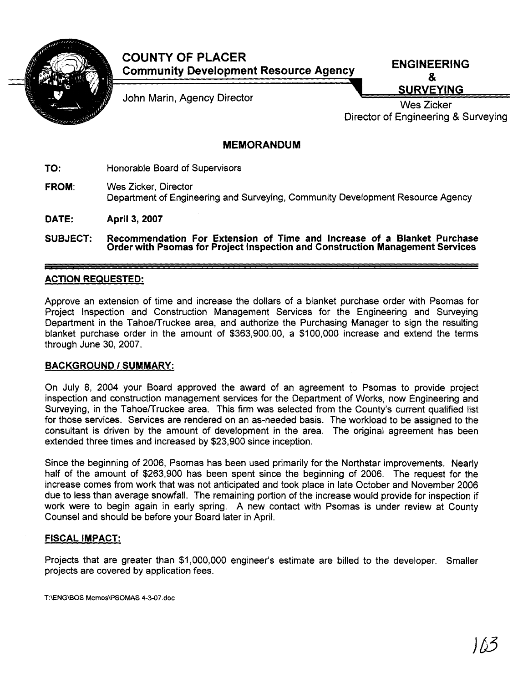

# **COUNTY OF PLACER Community Development Resource Agency ENGINEERING**

John Marin, Agency Director New York Control Communication of the SURVEYING

Director of Engineering & Surveying

## **MEMORANDUM**

**TO:** Honorable Board of Supervisors

- **FROM:** Wes Zicker, Director Department of Engineering and Surveying, Community Development Resource Agency
- **DATE: April 3, 2007**

**SUBJECT: Recommendation For Extension of Time and Increase of a Blanket Purchase Order with Psomas for Project lnspection and Construction Management Services** 

### **ACTION REQUESTED:**

Approve an extension of time and increase the dollars of a blanket purchase order with Psomas for Project lnspection and Construction Management Services for the Engineering and Surveying Department in the Tahoe/Truckee area, and authorize the Purchasing Manager to sign the resulting blanket purchase order in the amount of \$363,900.00, a \$100,000 increase and extend the terms through June 30, 2007.

### **BACKGROUND 1 SUMMARY:**

On July 8, 2004 your Board approved the award of an agreement to Psomas to provide project inspection and construction management services for the Department of Works, now Engineering and Surveying, in the Tahoe/Truckee area. This firm was selected from the County's current qualified list for those services. Services are rendered on an as-needed basis. The workload to be assigned to the consultant is driven by the amount of development in the area. The original agreement has been extended three times and increased by \$23,900 since inception.

Since the beginning of 2006, Psomas has been used primarily for the Northstar improvements. Nearly half of the amount of \$263,900 has been spent since the beginning of 2006. The request for the increase comes from work that was not anticipated and took place in late October and November 2006 due to less than average snowfall. The remaining portion of the increase would provide for inspection if work were to begin again in early spring. A new contact with Psomas is under review at County Counsel and should be before your Board later in April.

#### **FISCAL IMPACT:**

Projects that are greater than \$1,000,000 engineer's estimate are billed to the developer. Smaller projects are covered by application fees.

T:\ENG\BOS Memos\PSOMAS 4-3-07.doc